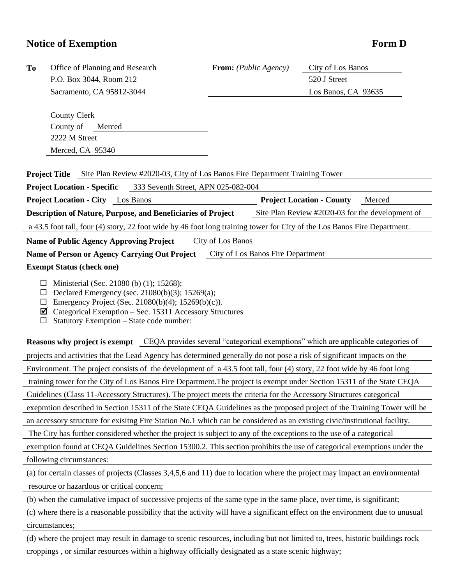## **Notice of Exemption Form D**

| <b>To</b><br>Office of Planning and Research                                                                                                                                                                                                                                                                                                          | <b>From:</b> ( <i>Public Agency</i> ) | City of Los Banos                                |  |  |
|-------------------------------------------------------------------------------------------------------------------------------------------------------------------------------------------------------------------------------------------------------------------------------------------------------------------------------------------------------|---------------------------------------|--------------------------------------------------|--|--|
| P.O. Box 3044, Room 212                                                                                                                                                                                                                                                                                                                               |                                       | 520 J Street                                     |  |  |
| Sacramento, CA 95812-3044                                                                                                                                                                                                                                                                                                                             |                                       | Los Banos, CA 93635                              |  |  |
|                                                                                                                                                                                                                                                                                                                                                       |                                       |                                                  |  |  |
| <b>County Clerk</b>                                                                                                                                                                                                                                                                                                                                   |                                       |                                                  |  |  |
| County of<br>Merced                                                                                                                                                                                                                                                                                                                                   |                                       |                                                  |  |  |
| 2222 M Street                                                                                                                                                                                                                                                                                                                                         |                                       |                                                  |  |  |
| Merced, CA 95340                                                                                                                                                                                                                                                                                                                                      |                                       |                                                  |  |  |
| <b>Project Title</b> Site Plan Review #2020-03, City of Los Banos Fire Department Training Tower                                                                                                                                                                                                                                                      |                                       |                                                  |  |  |
| 333 Seventh Street, APN 025-082-004<br><b>Project Location - Specific</b>                                                                                                                                                                                                                                                                             |                                       |                                                  |  |  |
| <b>Project Location - City</b> Los Banos                                                                                                                                                                                                                                                                                                              |                                       | <b>Project Location - County</b><br>Merced       |  |  |
| Description of Nature, Purpose, and Beneficiaries of Project                                                                                                                                                                                                                                                                                          |                                       | Site Plan Review #2020-03 for the development of |  |  |
| a 43.5 foot tall, four (4) story, 22 foot wide by 46 foot long training tower for City of the Los Banos Fire Department.                                                                                                                                                                                                                              |                                       |                                                  |  |  |
| City of Los Banos<br><b>Name of Public Agency Approving Project</b>                                                                                                                                                                                                                                                                                   |                                       |                                                  |  |  |
| Name of Person or Agency Carrying Out Project City of Los Banos Fire Department                                                                                                                                                                                                                                                                       |                                       |                                                  |  |  |
| <b>Exempt Status (check one)</b>                                                                                                                                                                                                                                                                                                                      |                                       |                                                  |  |  |
| $\Box$ Declared Emergency (sec. 21080(b)(3); 15269(a);<br>Emergency Project (Sec. 21080(b)(4); 15269(b)(c)).<br>ப<br>Categorical Exemption – Sec. 15311 Accessory Structures<br>☑<br>Statutory Exemption - State code number:<br>□<br>Reasons why project is exempt CEQA provides several "categorical exemptions" which are applicable categories of |                                       |                                                  |  |  |
| projects and activities that the Lead Agency has determined generally do not pose a risk of significant impacts on the                                                                                                                                                                                                                                |                                       |                                                  |  |  |
| Environment. The project consists of the development of a 43.5 foot tall, four (4) story, 22 foot wide by 46 foot long                                                                                                                                                                                                                                |                                       |                                                  |  |  |
| training tower for the City of Los Banos Fire Department. The project is exempt under Section 15311 of the State CEQA                                                                                                                                                                                                                                 |                                       |                                                  |  |  |
| Guidelines (Class 11-Accessory Structures). The project meets the criteria for the Accessory Structures categorical                                                                                                                                                                                                                                   |                                       |                                                  |  |  |
| exepmtion described in Section 15311 of the State CEQA Guidelines as the proposed project of the Training Tower will be                                                                                                                                                                                                                               |                                       |                                                  |  |  |
| an accessory structure for exisitng Fire Station No.1 which can be considered as an existing civic/institutional facility.                                                                                                                                                                                                                            |                                       |                                                  |  |  |
| The City has further considered whether the project is subject to any of the exceptions to the use of a categorical                                                                                                                                                                                                                                   |                                       |                                                  |  |  |
| exemption found at CEQA Guidelines Section 15300.2. This section prohibits the use of categorical exemptions under the                                                                                                                                                                                                                                |                                       |                                                  |  |  |
| following circumstances:                                                                                                                                                                                                                                                                                                                              |                                       |                                                  |  |  |
| (a) for certain classes of projects (Classes 3,4,5,6 and 11) due to location where the project may impact an environmental                                                                                                                                                                                                                            |                                       |                                                  |  |  |
| resource or hazardous or critical concern;                                                                                                                                                                                                                                                                                                            |                                       |                                                  |  |  |
| (b) when the cumulative impact of successive projects of the same type in the same place, over time, is significant;                                                                                                                                                                                                                                  |                                       |                                                  |  |  |
| (c) where there is a reasonable possibility that the activity will have a significant effect on the environment due to unusual                                                                                                                                                                                                                        |                                       |                                                  |  |  |
| circumstances;                                                                                                                                                                                                                                                                                                                                        |                                       |                                                  |  |  |
|                                                                                                                                                                                                                                                                                                                                                       |                                       |                                                  |  |  |
| (d) where the project may result in damage to scenic resources, including but not limited to, trees, historic buildings rock                                                                                                                                                                                                                          |                                       |                                                  |  |  |